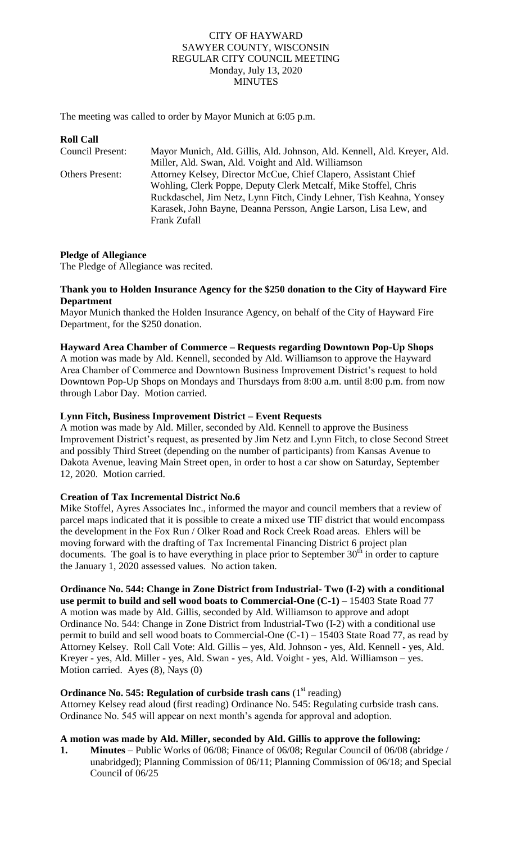### CITY OF HAYWARD SAWYER COUNTY, WISCONSIN REGULAR CITY COUNCIL MEETING Monday, July 13, 2020 **MINUTES**

The meeting was called to order by Mayor Munich at 6:05 p.m.

| <b>Roll Call</b>       |                                                                          |
|------------------------|--------------------------------------------------------------------------|
| Council Present:       | Mayor Munich, Ald. Gillis, Ald. Johnson, Ald. Kennell, Ald. Kreyer, Ald. |
|                        | Miller, Ald. Swan, Ald. Voight and Ald. Williamson                       |
| <b>Others Present:</b> | Attorney Kelsey, Director McCue, Chief Clapero, Assistant Chief          |
|                        | Wohling, Clerk Poppe, Deputy Clerk Metcalf, Mike Stoffel, Chris          |
|                        | Ruckdaschel, Jim Netz, Lynn Fitch, Cindy Lehner, Tish Keahna, Yonsey     |
|                        | Karasek, John Bayne, Deanna Persson, Angie Larson, Lisa Lew, and         |
|                        | <b>Frank Zufall</b>                                                      |

### **Pledge of Allegiance**

The Pledge of Allegiance was recited.

### **Thank you to Holden Insurance Agency for the \$250 donation to the City of Hayward Fire Department**

Mayor Munich thanked the Holden Insurance Agency, on behalf of the City of Hayward Fire Department, for the \$250 donation.

### **Hayward Area Chamber of Commerce – Requests regarding Downtown Pop-Up Shops**

A motion was made by Ald. Kennell, seconded by Ald. Williamson to approve the Hayward Area Chamber of Commerce and Downtown Business Improvement District's request to hold Downtown Pop-Up Shops on Mondays and Thursdays from 8:00 a.m. until 8:00 p.m. from now through Labor Day. Motion carried.

### **Lynn Fitch, Business Improvement District – Event Requests**

A motion was made by Ald. Miller, seconded by Ald. Kennell to approve the Business Improvement District's request, as presented by Jim Netz and Lynn Fitch, to close Second Street and possibly Third Street (depending on the number of participants) from Kansas Avenue to Dakota Avenue, leaving Main Street open, in order to host a car show on Saturday, September 12, 2020. Motion carried.

### **Creation of Tax Incremental District No.6**

Mike Stoffel, Ayres Associates Inc., informed the mayor and council members that a review of parcel maps indicated that it is possible to create a mixed use TIF district that would encompass the development in the Fox Run / Olker Road and Rock Creek Road areas. Ehlers will be moving forward with the drafting of Tax Incremental Financing District 6 project plan documents. The goal is to have everything in place prior to September  $30<sup>th</sup>$  in order to capture the January 1, 2020 assessed values. No action taken.

#### **Ordinance No. 544: Change in Zone District from Industrial- Two (I-2) with a conditional use permit to build and sell wood boats to Commercial-One (C-1)** – 15403 State Road 77

A motion was made by Ald. Gillis, seconded by Ald. Williamson to approve and adopt Ordinance No. 544: Change in Zone District from Industrial-Two (I-2) with a conditional use permit to build and sell wood boats to Commercial-One (C-1) – 15403 State Road 77, as read by Attorney Kelsey. Roll Call Vote: Ald. Gillis – yes, Ald. Johnson - yes, Ald. Kennell - yes, Ald. Kreyer - yes, Ald. Miller - yes, Ald. Swan - yes, Ald. Voight - yes, Ald. Williamson – yes. Motion carried. Ayes (8), Nays (0)

### **Ordinance No. 545: Regulation of curbside trash cans** (1<sup>st</sup> reading)

Attorney Kelsey read aloud (first reading) Ordinance No. 545: Regulating curbside trash cans. Ordinance No. 545 will appear on next month's agenda for approval and adoption.

# **A motion was made by Ald. Miller, seconded by Ald. Gillis to approve the following:**

**1. Minutes** – Public Works of 06/08; Finance of 06/08; Regular Council of 06/08 (abridge / unabridged); Planning Commission of 06/11; Planning Commission of 06/18; and Special Council of 06/25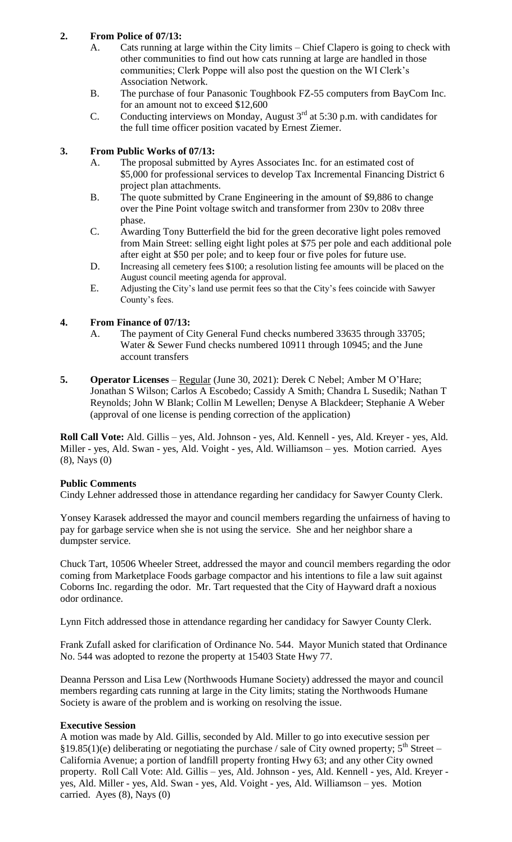## **2. From Police of 07/13:**

- A. Cats running at large within the City limits Chief Clapero is going to check with other communities to find out how cats running at large are handled in those communities; Clerk Poppe will also post the question on the WI Clerk's Association Network.
- B. The purchase of four Panasonic Toughbook FZ-55 computers from BayCom Inc. for an amount not to exceed \$12,600
- C. Conducting interviews on Monday, August 3<sup>rd</sup> at 5:30 p.m. with candidates for the full time officer position vacated by Ernest Ziemer.

## **3. From Public Works of 07/13:**

- A. The proposal submitted by Ayres Associates Inc. for an estimated cost of \$5,000 for professional services to develop Tax Incremental Financing District 6 project plan attachments.
- B. The quote submitted by Crane Engineering in the amount of \$9,886 to change over the Pine Point voltage switch and transformer from 230v to 208v three phase.
- C. Awarding Tony Butterfield the bid for the green decorative light poles removed from Main Street: selling eight light poles at \$75 per pole and each additional pole after eight at \$50 per pole; and to keep four or five poles for future use.
- D. Increasing all cemetery fees \$100; a resolution listing fee amounts will be placed on the August council meeting agenda for approval.
- E. Adjusting the City's land use permit fees so that the City's fees coincide with Sawyer County's fees.

### **4. From Finance of 07/13:**

- A. The payment of City General Fund checks numbered 33635 through 33705; Water & Sewer Fund checks numbered 10911 through 10945; and the June account transfers
- **5. Operator Licenses** Regular (June 30, 2021): Derek C Nebel; Amber M O'Hare; Jonathan S Wilson; Carlos A Escobedo; Cassidy A Smith; Chandra L Susedik; Nathan T Reynolds; John W Blank; Collin M Lewellen; Denyse A Blackdeer; Stephanie A Weber (approval of one license is pending correction of the application)

**Roll Call Vote:** Ald. Gillis – yes, Ald. Johnson - yes, Ald. Kennell - yes, Ald. Kreyer - yes, Ald. Miller - yes, Ald. Swan - yes, Ald. Voight - yes, Ald. Williamson – yes. Motion carried. Ayes (8), Nays (0)

### **Public Comments**

Cindy Lehner addressed those in attendance regarding her candidacy for Sawyer County Clerk.

Yonsey Karasek addressed the mayor and council members regarding the unfairness of having to pay for garbage service when she is not using the service. She and her neighbor share a dumpster service.

Chuck Tart, 10506 Wheeler Street, addressed the mayor and council members regarding the odor coming from Marketplace Foods garbage compactor and his intentions to file a law suit against Coborns Inc. regarding the odor. Mr. Tart requested that the City of Hayward draft a noxious odor ordinance.

Lynn Fitch addressed those in attendance regarding her candidacy for Sawyer County Clerk.

Frank Zufall asked for clarification of Ordinance No. 544. Mayor Munich stated that Ordinance No. 544 was adopted to rezone the property at 15403 State Hwy 77.

Deanna Persson and Lisa Lew (Northwoods Humane Society) addressed the mayor and council members regarding cats running at large in the City limits; stating the Northwoods Humane Society is aware of the problem and is working on resolving the issue.

### **Executive Session**

A motion was made by Ald. Gillis, seconded by Ald. Miller to go into executive session per §19.85(1)(e) deliberating or negotiating the purchase / sale of City owned property;  $5<sup>th</sup> Street –$ California Avenue; a portion of landfill property fronting Hwy 63; and any other City owned property. Roll Call Vote: Ald. Gillis – yes, Ald. Johnson - yes, Ald. Kennell - yes, Ald. Kreyer yes, Ald. Miller - yes, Ald. Swan - yes, Ald. Voight - yes, Ald. Williamson – yes. Motion carried. Ayes (8), Nays (0)